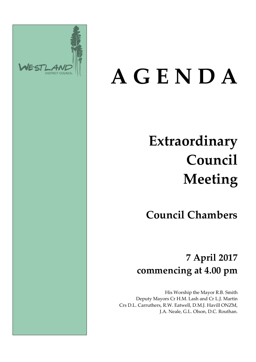

# **A G E N D A**

# **Extraordinary Council Meeting**

**Council Chambers**

## **7 April 2017 commencing at 4.00 pm**

His Worship the Mayor R.B. Smith Deputy Mayors Cr H.M. Lash and Cr L.J. Martin Crs D.L. Carruthers, R.W. Eatwell, D.M.J. Havill ONZM, J.A. Neale, G.L. Olson, D.C. Routhan.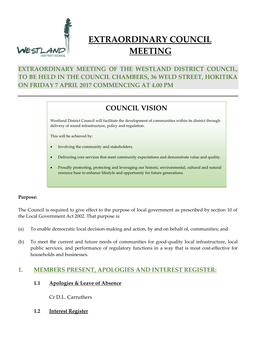

### **EXTRAORDINARY COUNCIL MEETING**

#### **EXTRAORDINARY MEETING OF THE WESTLAND DISTRICT COUNCIL, TO BE HELD IN THE COUNCIL CHAMBERS, 36 WELD STREET, HOKITIKA ON FRIDAY 7 APRIL 2017 COMMENCING AT 4.00 PM**

#### **COUNCIL VISION**

Westland District Council will facilitate the development of communities within its district through delivery of sound infrastructure, policy and regulation.

This will be achieved by:

- Involving the community and stakeholders.
- Delivering core services that meet community expectations and demonstrate value and quality.
- Proudly promoting, protecting and leveraging our historic, environmental, cultural and natural resource base to enhance lifestyle and opportunity for future generations.

#### **Purpose:**

The Council is required to give effect to the purpose of local government as prescribed by section 10 of the Local Government Act 2002. That purpose is:

- (a) To enable democratic local decision-making and action, by and on behalf of, communities; and
- (b) To meet the current and future needs of communities for good-quality local infrastructure, local public services, and performance of regulatory functions in a way that is most cost-effective for households and businesses.

#### **1. MEMBERS PRESENT, APOLOGIES AND INTEREST REGISTER:**

**1.1 Apologies & Leave of Absence**

Cr D.L. Carruthers

**1.2 Interest Register**